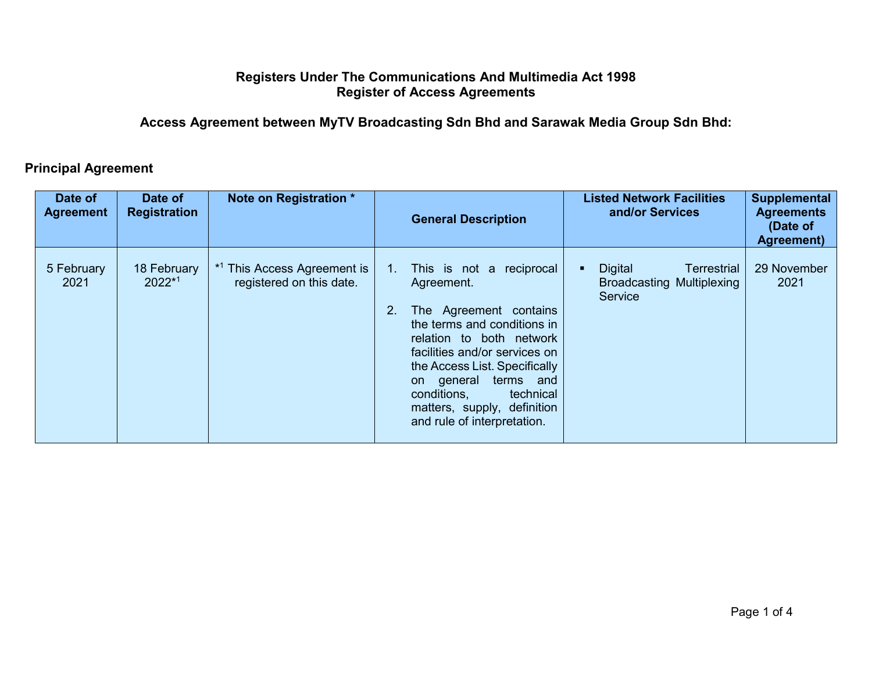## **Registers Under The Communications And Multimedia Act 1998 Register of Access Agreements**

## **Access Agreement between MyTV Broadcasting Sdn Bhd and Sarawak Media Group Sdn Bhd:**

## **Principal Agreement**

| Date of<br><b>Agreement</b> | Date of<br><b>Registration</b> | Note on Registration *                                             |          | <b>General Description</b>                                                                                                                                                                                                                                                                                         | Supplemental<br><b>Listed Network Facilities</b><br>and/or Services<br><b>Agreements</b><br>(Date of<br><b>Agreement</b> ) |
|-----------------------------|--------------------------------|--------------------------------------------------------------------|----------|--------------------------------------------------------------------------------------------------------------------------------------------------------------------------------------------------------------------------------------------------------------------------------------------------------------------|----------------------------------------------------------------------------------------------------------------------------|
| 5 February<br>2021          | 18 February<br>2022*1          | <sup>*1</sup> This Access Agreement is<br>registered on this date. | 1.<br>2. | This is not a reciprocal<br>Agreement.<br>The Agreement contains<br>the terms and conditions in<br>relation to both network<br>facilities and/or services on<br>the Access List. Specifically<br>terms and<br>on general<br>conditions,<br>technical<br>matters, supply, definition<br>and rule of interpretation. | 29 November<br><b>Digital</b><br><b>Terrestrial</b><br>2021<br><b>Broadcasting Multiplexing</b><br>Service                 |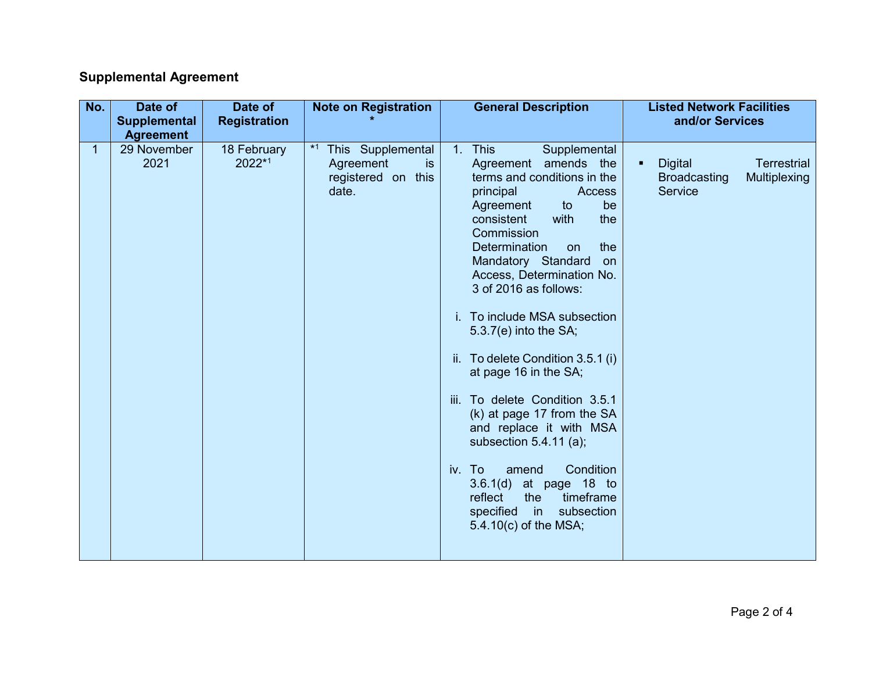## **Supplemental Agreement**

| No. | Date of<br><b>Supplemental</b><br><b>Agreement</b> | Date of<br><b>Registration</b> | <b>Note on Registration</b>                                                | <b>General Description</b>                                                                                                                                                                                                                                                                                                                                                                                                                                                                                                                                                                                                                                                                                | <b>Listed Network Facilities</b><br>and/or Services                                    |
|-----|----------------------------------------------------|--------------------------------|----------------------------------------------------------------------------|-----------------------------------------------------------------------------------------------------------------------------------------------------------------------------------------------------------------------------------------------------------------------------------------------------------------------------------------------------------------------------------------------------------------------------------------------------------------------------------------------------------------------------------------------------------------------------------------------------------------------------------------------------------------------------------------------------------|----------------------------------------------------------------------------------------|
| 1.  | 29 November<br>2021                                | 18 February<br>2022*1          | This Supplemental<br>Agreement<br><b>is</b><br>registered on this<br>date. | 1. This<br>Supplemental<br>Agreement amends<br>the<br>terms and conditions in the<br>principal<br>Access<br>Agreement<br>to<br>be<br>consistent<br>with<br>the<br>Commission<br>Determination<br>the<br><b>on</b><br>Mandatory Standard<br>on<br>Access, Determination No.<br>3 of 2016 as follows:<br>i. To include MSA subsection<br>$5.3.7(e)$ into the SA;<br>ii. To delete Condition 3.5.1 (i)<br>at page 16 in the SA;<br>iii. To delete Condition 3.5.1<br>(k) at page 17 from the SA<br>and replace it with MSA<br>subsection 5.4.11 (a);<br>Condition<br>iv. To<br>amend<br>3.6.1(d)<br>at page 18 to<br>reflect<br>the<br>timeframe<br>in l<br>subsection<br>specified<br>5.4.10(c) of the MSA; | <b>Terrestrial</b><br><b>Digital</b><br><b>Broadcasting</b><br>Multiplexing<br>Service |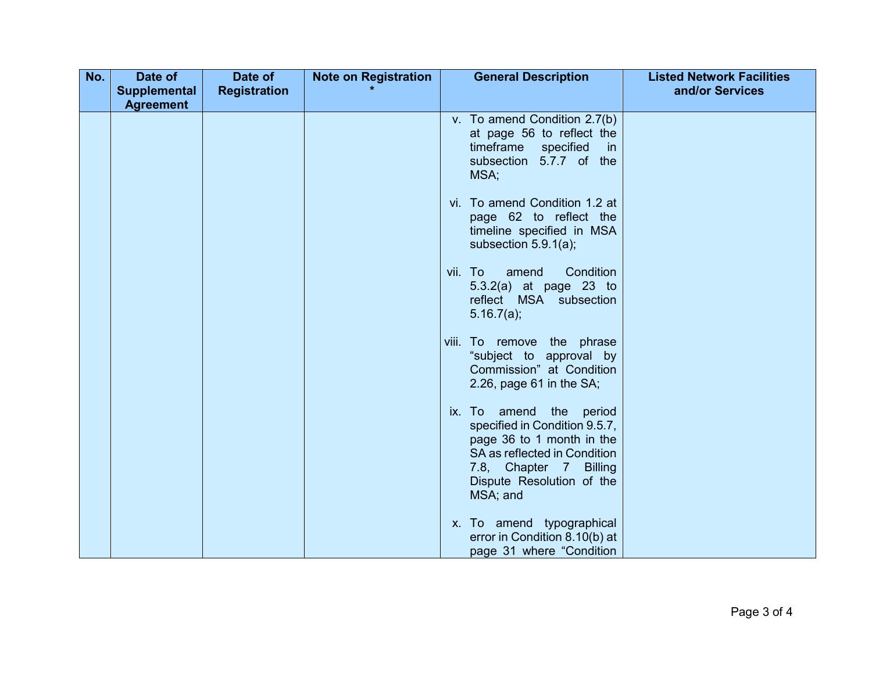| No. | Date of             | Date of             | <b>Note on Registration</b> | <b>General Description</b>                                  | <b>Listed Network Facilities</b> |
|-----|---------------------|---------------------|-----------------------------|-------------------------------------------------------------|----------------------------------|
|     | <b>Supplemental</b> | <b>Registration</b> |                             |                                                             | and/or Services                  |
|     | <b>Agreement</b>    |                     |                             |                                                             |                                  |
|     |                     |                     |                             | v. To amend Condition 2.7(b)                                |                                  |
|     |                     |                     |                             | at page 56 to reflect the                                   |                                  |
|     |                     |                     |                             | timeframe specified<br><i>in</i><br>subsection 5.7.7 of the |                                  |
|     |                     |                     |                             | MSA;                                                        |                                  |
|     |                     |                     |                             |                                                             |                                  |
|     |                     |                     |                             | vi. To amend Condition 1.2 at                               |                                  |
|     |                     |                     |                             | page 62 to reflect the                                      |                                  |
|     |                     |                     |                             | timeline specified in MSA                                   |                                  |
|     |                     |                     |                             | subsection $5.9.1(a)$ ;                                     |                                  |
|     |                     |                     |                             | Condition<br>amend<br>vii. To                               |                                  |
|     |                     |                     |                             | $5.3.2(a)$ at page 23 to                                    |                                  |
|     |                     |                     |                             | reflect MSA subsection                                      |                                  |
|     |                     |                     |                             | 5.16.7(a);                                                  |                                  |
|     |                     |                     |                             | viii. To remove the phrase                                  |                                  |
|     |                     |                     |                             | "subject to approval by                                     |                                  |
|     |                     |                     |                             | Commission" at Condition                                    |                                  |
|     |                     |                     |                             | 2.26, page $61$ in the SA;                                  |                                  |
|     |                     |                     |                             |                                                             |                                  |
|     |                     |                     |                             | ix. To amend the<br>period<br>specified in Condition 9.5.7, |                                  |
|     |                     |                     |                             | page 36 to 1 month in the                                   |                                  |
|     |                     |                     |                             | SA as reflected in Condition                                |                                  |
|     |                     |                     |                             | 7.8, Chapter 7 Billing                                      |                                  |
|     |                     |                     |                             | Dispute Resolution of the                                   |                                  |
|     |                     |                     |                             | MSA; and                                                    |                                  |
|     |                     |                     |                             | x. To amend typographical                                   |                                  |
|     |                     |                     |                             | error in Condition 8.10(b) at                               |                                  |
|     |                     |                     |                             | page 31 where "Condition                                    |                                  |